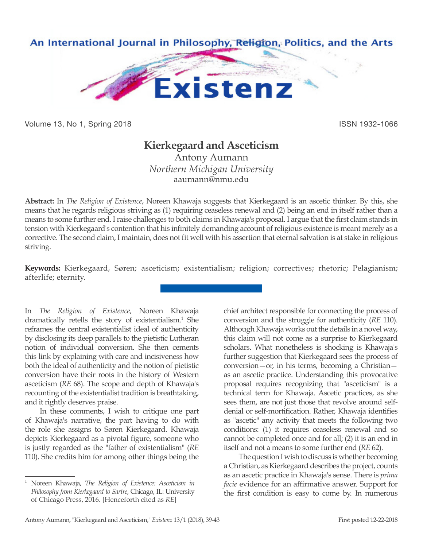

Volume 13, No 1, Spring 2018 **ISSN 1932-1066** ISSN 1932-1066

# **Kierkegaard and Asceticism**

Antony Aumann *Northern Michigan University* aaumann@nmu.edu

**Abstract:** In *The Religion of Existence*, Noreen Khawaja suggests that Kierkegaard is an ascetic thinker. By this, she means that he regards religious striving as (1) requiring ceaseless renewal and (2) being an end in itself rather than a means to some further end. I raise challenges to both claims in Khawaja's proposal. I argue that the first claim stands in tension with Kierkegaard's contention that his infinitely demanding account of religious existence is meant merely as a corrective. The second claim, I maintain, does not fit well with his assertion that eternal salvation is at stake in religious striving.

**Keywords:** Kierkegaard, Søren; asceticism; existentialism; religion; correctives; rhetoric; Pelagianism; afterlife; eternity.

In *The Religion of Existence*, Noreen Khawaja dramatically retells the story of existentialism.<sup>1</sup> She reframes the central existentialist ideal of authenticity by disclosing its deep parallels to the pietistic Lutheran notion of individual conversion. She then cements this link by explaining with care and incisiveness how both the ideal of authenticity and the notion of pietistic conversion have their roots in the history of Western asceticism (*RE* 68). The scope and depth of Khawaja's recounting of the existentialist tradition is breathtaking, and it rightly deserves praise.

In these comments, I wish to critique one part of Khawaja's narrative, the part having to do with the role she assigns to Søren Kierkegaard. Khawaja depicts Kierkegaard as a pivotal figure, someone who is justly regarded as the "father of existentialism" (*RE*  110). She credits him for among other things being the

chief architect responsible for connecting the process of conversion and the struggle for authenticity (*RE* 110). Although Khawaja works out the details in a novel way, this claim will not come as a surprise to Kierkegaard scholars. What nonetheless is shocking is Khawaja's further suggestion that Kierkegaard sees the process of conversion—or, in his terms, becoming a Christian as an ascetic practice. Understanding this provocative proposal requires recognizing that "asceticism" is a technical term for Khawaja. Ascetic practices, as she sees them, are not just those that revolve around selfdenial or self-mortification. Rather, Khawaja identifies as "ascetic" any activity that meets the following two conditions: (1) it requires ceaseless renewal and so cannot be completed once and for all; (2) it is an end in itself and not a means to some further end (*RE* 62).

The question I wish to discuss is whether becoming a Christian, as Kierkegaard describes the project, counts as an ascetic practice in Khawaja's sense. There is *prima facie* evidence for an affirmative answer. Support for the first condition is easy to come by. In numerous

<sup>1</sup> Noreen Khawaja, *The Religion of Existence: Asceticism in Philosophy from Kierkegaard to Sartre*, Chicago, IL: University of Chicago Press, 2016. [Henceforth cited as *RE*]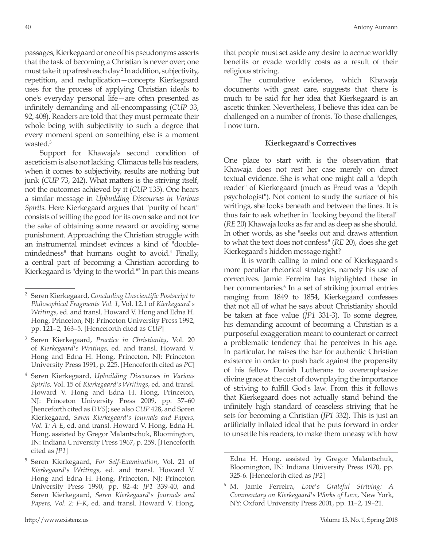passages, Kierkegaard or one of his pseudonyms asserts that the task of becoming a Christian is never over; one must take it up afresh each day.2 In addition, subjectivity, repetition, and reduplication—concepts Kierkegaard uses for the process of applying Christian ideals to one's everyday personal life—are often presented as infinitely demanding and all-encompassing (*CUP* 33, 92, 408). Readers are told that they must permeate their whole being with subjectivity to such a degree that every moment spent on something else is a moment wasted.<sup>3</sup>

Support for Khawaja's second condition of asceticism is also not lacking. Climacus tells his readers, when it comes to subjectivity, results are nothing but junk (*CUP* 73, 242). What matters is the striving itself, not the outcomes achieved by it (*CUP* 135). One hears a similar message in *Upbuilding Discourses in Various Spirits*. Here Kierkegaard argues that "purity of heart" consists of willing the good for its own sake and not for the sake of obtaining some reward or avoiding some punishment. Approaching the Christian struggle with an instrumental mindset evinces a kind of "doublemindedness" that humans ought to avoid.4 Finally, a central part of becoming a Christian according to Kierkegaard is "dying to the world."5 In part this means that people must set aside any desire to accrue worldly benefits or evade worldly costs as a result of their religious striving.

The cumulative evidence, which Khawaja documents with great care, suggests that there is much to be said for her idea that Kierkegaard is an ascetic thinker. Nevertheless, I believe this idea can be challenged on a number of fronts. To those challenges, I now turn.

# **Kierkegaard's Correctives**

One place to start with is the observation that Khawaja does not rest her case merely on direct textual evidence. She is what one might call a "depth reader" of Kierkegaard (much as Freud was a "depth psychologist"). Not content to study the surface of his writings, she looks beneath and between the lines. It is thus fair to ask whether in "looking beyond the literal" (*RE* 20) Khawaja looks as far and as deep as she should. In other words, as she "seeks out and draws attention to what the text does not confess" (*RE* 20), does she get Kierkegaard's hidden message right?

 It is worth calling to mind one of Kierkegaard's more peculiar rhetorical strategies, namely his use of correctives. Jamie Ferreira has highlighted these in her commentaries.<sup>6</sup> In a set of striking journal entries ranging from 1849 to 1854, Kierkegaard confesses that not all of what he says about Christianity should be taken at face value (*JP1* 331-3). To some degree, his demanding account of becoming a Christian is a purposeful exaggeration meant to counteract or correct a problematic tendency that he perceives in his age. In particular, he raises the bar for authentic Christian existence in order to push back against the propensity of his fellow Danish Lutherans to overemphasize divine grace at the cost of downplaying the importance of striving to fulfill God's law. From this it follows that Kierkegaard does not actually stand behind the infinitely high standard of ceaseless striving that he sets for becoming a Christian (*JP1* 332). This is just an artificially inflated ideal that he puts forward in order to unsettle his readers, to make them uneasy with how

<sup>2</sup> Søren Kierkegaard, *Concluding Unscientific Postscript to Philosophical Fragments Vol. 1*, Vol. 12.1 of *Kierkegaard's Writings*, ed. and transl. Howard V. Hong and Edna H. Hong, Princeton, NJ: Princeton University Press 1992, pp. 121–2, 163–5. [Henceforth cited as *CUP*]

<sup>3</sup> Søren Kierkegaard, *Practice in Christianity*, Vol. 20 of *Kierkegaard's Writings*, ed. and transl. Howard V. Hong and Edna H. Hong, Princeton, NJ: Princeton University Press 1991, p. 225. [Henceforth cited as *PC*]

<sup>4</sup> Søren Kierkegaard, *Upbuilding Discourses in Various Spirits*, Vol. 15 of *Kierkegaard's Writings*, ed. and transl. Howard V. Hong and Edna H. Hong, Princeton, NJ: Princeton University Press 2009, pp. 37–60 [henceforth cited as *DVS*]; see also *CUP* 428, and Søren Kierkegaard, *Søren Kierkegaard's Journals and Papers, Vol. 1: A-E*, ed. and transl. Howard V. Hong, Edna H. Hong, assisted by Gregor Malantschuk, Bloomington, IN: Indiana University Press 1967, p. 259. [Henceforth cited as *JP1*]

<sup>5</sup> Søren Kierkegaard, *For Self-Examination*, Vol. 21 of *Kierkegaard's Writings*, ed. and transl. Howard V. Hong and Edna H. Hong, Princeton, NJ: Princeton University Press 1990, pp. 82–4; *JP1* 339-40, and Søren Kierkegaard, *Søren Kierkegaard's Journals and Papers, Vol. 2: F-K*, ed. and transl. Howard V. Hong,

Edna H. Hong, assisted by Gregor Malantschuk, Bloomington, IN: Indiana University Press 1970, pp. 325-6. [Henceforth cited as *JP2*]

<sup>6</sup> M. Jamie Ferreira, *Love's Grateful Striving: A Commentary on Kierkegaard's Works of Love*, New York, NY: Oxford University Press 2001, pp. 11–2, 19–21.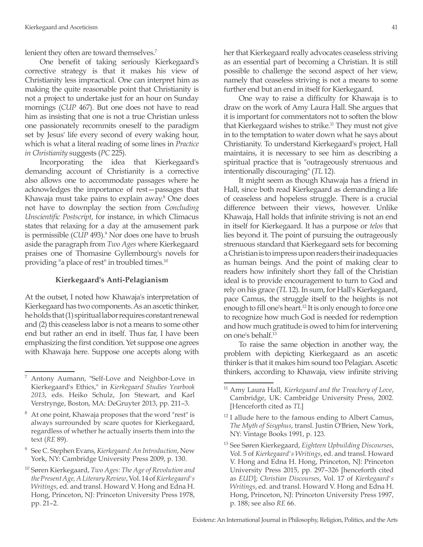lenient they often are toward themselves.<sup>7</sup>

One benefit of taking seriously Kierkegaard's corrective strategy is that it makes his view of Christianity less impractical. One can interpret him as making the quite reasonable point that Christianity is not a project to undertake just for an hour on Sunday mornings (*CUP* 467). But one does not have to read him as insisting that one is not a true Christian unless one passionately recommits oneself to the paradigm set by Jesus' life every second of every waking hour, which is what a literal reading of some lines in *Practice in Christianity* suggests (*PC* 225).

Incorporating the idea that Kierkegaard's demanding account of Christianity is a corrective also allows one to accommodate passages where he acknowledges the importance of rest—passages that Khawaja must take pains to explain away.<sup>8</sup> One does not have to downplay the section from *Concluding Unscientific Postscript*, for instance, in which Climacus states that relaxing for a day at the amusement park is permissible (CUP 493).<sup>9</sup> Nor does one have to brush aside the paragraph from *Two Ages* where Kierkegaard praises one of Thomasine Gyllembourg's novels for providing "a place of rest" in troubled times.10

#### **Kierkegaard's Anti-Pelagianism**

At the outset, I noted how Khawaja's interpretation of Kierkegaard has two components. As an ascetic thinker, he holds that (1) spiritual labor requires constant renewal and (2) this ceaseless labor is not a means to some other end but rather an end in itself. Thus far, I have been emphasizing the first condition. Yet suppose one agrees with Khawaja here. Suppose one accepts along with her that Kierkegaard really advocates ceaseless striving as an essential part of becoming a Christian. It is still possible to challenge the second aspect of her view, namely that ceaseless striving is not a means to some further end but an end in itself for Kierkegaard.

One way to raise a difficulty for Khawaja is to draw on the work of Amy Laura Hall. She argues that it is important for commentators not to soften the blow that Kierkegaard wishes to strike.<sup>11</sup> They must not give in to the temptation to water down what he says about Christianity. To understand Kierkegaard's project, Hall maintains, it is necessary to see him as describing a spiritual practice that is "outrageously strenuous and intentionally discouraging" (*TL* 12).

It might seem as though Khawaja has a friend in Hall, since both read Kierkegaard as demanding a life of ceaseless and hopeless struggle. There is a crucial difference between their views, however. Unlike Khawaja, Hall holds that infinite striving is not an end in itself for Kierkegaard. It has a purpose or *telos* that lies beyond it. The point of pursuing the outrageously strenuous standard that Kierkegaard sets for becoming a Christian is to impress upon readers their inadequacies as human beings. And the point of making clear to readers how infinitely short they fall of the Christian ideal is to provide encouragement to turn to God and rely on his grace (*TL* 12). In sum, for Hall's Kierkegaard, pace Camus, the struggle itself to the heights is not enough to fill one's heart.<sup>12</sup> It is only enough to force one to recognize how much God is needed for redemption and how much gratitude is owed to him for intervening on one's behalf.13

To raise the same objection in another way, the problem with depicting Kierkegaard as an ascetic thinker is that it makes him sound too Pelagian. Ascetic thinkers, according to Khawaja, view infinite striving

Antony Aumann, "Self-Love and Neighbor-Love in Kierkegaard's Ethics," in *Kierkegaard Studies Yearbook 2013*, eds. Heiko Schulz, Jon Stewart, and Karl Verstrynge, Boston, MA: DeGruyter 2013, pp. 211–3.

At one point, Khawaja proposes that the word "rest" is always surrounded by scare quotes for Kierkegaard, regardless of whether he actually inserts them into the text (*RE* 89).

<sup>9</sup> See C. Stephen Evans, *Kierkegaard: An Introduction*, New York, NY: Cambridge University Press 2009, p. 130.

<sup>10</sup> Søren Kierkegaard, *Two Ages: The Age of Revolution and the Present Age, A Literary Review*, Vol. 14 of *Kierkegaard's Writings*, ed. and transl. Howard V. Hong and Edna H. Hong, Princeton, NJ: Princeton University Press 1978, pp. 21–2.

<sup>11</sup> Amy Laura Hall, *Kierkegaard and the Treachery of Love*, Cambridge, UK: Cambridge University Press, 2002. [Henceforth cited as *TL*]

 $12$  I allude here to the famous ending to Albert Camus, *The Myth of Sisyphus*, transl. Justin O'Brien, New York, NY: Vintage Books 1991, p. 123.

<sup>13</sup> See Søren Kierkegaard, *Eighteen Upbuilding Discourses*, Vol. 5 of *Kierkegaard's Writings*, ed. and transl. Howard V. Hong and Edna H. Hong, Princeton, NJ: Princeton University Press 2015, pp. 297–326 [henceforth cited as *EUD*]; *Christian Discourses*, Vol. 17 of *Kierkegaard's Writings*, ed. and transl. Howard V. Hong and Edna H. Hong, Princeton, NJ: Princeton University Press 1997, p. 188; see also *RE* 66.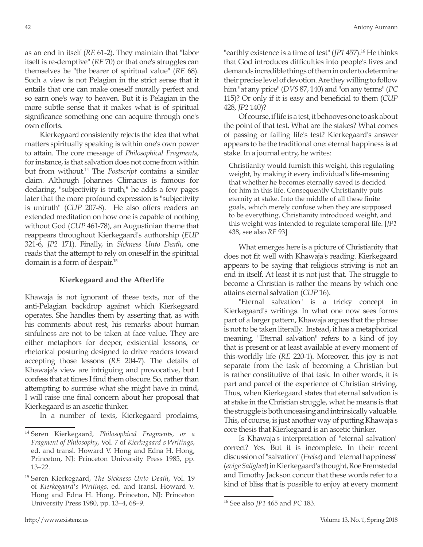as an end in itself (*RE* 61-2). They maintain that "labor itself is re-demptive" (*RE* 70) or that one's struggles can themselves be "the bearer of spiritual value" (*RE* 68). Such a view is not Pelagian in the strict sense that it entails that one can make oneself morally perfect and so earn one's way to heaven. But it is Pelagian in the more subtle sense that it makes what is of spiritual significance something one can acquire through one's own efforts.

Kierkegaard consistently rejects the idea that what matters spiritually speaking is within one's own power to attain. The core message of *Philosophical Fragments*, for instance, is that salvation does not come from within but from without.14 The *Postscript* contains a similar claim. Although Johannes Climacus is famous for declaring, "subjectivity is truth," he adds a few pages later that the more profound expression is "subjectivity is untruth" (*CUP* 207-8). He also offers readers an extended meditation on how one is capable of nothing without God (*CUP* 461-78), an Augustinian theme that reappears throughout Kierkegaard's authorship (*EUP* 321-6, *JP2* 171). Finally, in *Sickness Unto Death*, one reads that the attempt to rely on oneself in the spiritual domain is a form of despair.15

## **Kierkegaard and the Afterlife**

Khawaja is not ignorant of these texts, nor of the anti-Pelagian backdrop against which Kierkegaard operates. She handles them by asserting that, as with his comments about rest, his remarks about human sinfulness are not to be taken at face value. They are either metaphors for deeper, existential lessons, or rhetorical posturing designed to drive readers toward accepting those lessons (*RE* 204-7). The details of Khawaja's view are intriguing and provocative, but I confess that at times I find them obscure. So, rather than attempting to surmise what she might have in mind, I will raise one final concern about her proposal that Kierkegaard is an ascetic thinker.

In a number of texts, Kierkegaard proclaims,

"earthly existence is a time of test" (*JP1* 457).<sup>16</sup> He thinks that God introduces difficulties into people's lives and demands incredible things of them in order to determine their precise level of devotion. Are they willing to follow him "at any price" (*DVS* 87, 140) and "on any terms" (*PC* 115)? Or only if it is easy and beneficial to them (*CUP* 428, *JP2* 140)?

Of course, if life is a test, it behooves one to ask about the point of that test. What are the stakes? What comes of passing or failing life's test? Kierkegaard's answer appears to be the traditional one: eternal happiness is at stake. In a journal entry, he writes:

Christianity would furnish this weight, this regulating weight, by making it every individual's life-meaning that whether he becomes eternally saved is decided for him in this life. Consequently Christianity puts eternity at stake. Into the middle of all these finite goals, which merely confuse when they are supposed to be everything, Christianity introduced weight, and this weight was intended to regulate temporal life. [*JP1* 438, see also *RE* 93]

What emerges here is a picture of Christianity that does not fit well with Khawaja's reading. Kierkegaard appears to be saying that religious striving is not an end in itself. At least it is not just that. The struggle to become a Christian is rather the means by which one attains eternal salvation (*CUP* 16).

"Eternal salvation" is a tricky concept in Kierkegaard's writings. In what one now sees forms part of a larger pattern, Khawaja argues that the phrase is not to be taken literally. Instead, it has a metaphorical meaning. "Eternal salvation" refers to a kind of joy that is present or at least available at every moment of this-worldly life (*RE* 220-1). Moreover, this joy is not separate from the task of becoming a Christian but is rather constitutive of that task. In other words, it is part and parcel of the experience of Christian striving. Thus, when Kierkegaard states that eternal salvation is at stake in the Christian struggle, what he means is that the struggle is both unceasing and intrinsically valuable. This, of course, is just another way of putting Khawaja's core thesis that Kierkegaard is an ascetic thinker.

Is Khawaja's interpretation of "eternal salvation" correct? Yes. But it is incomplete. In their recent discussion of "salvation" (*Frelse*) and "eternal happiness" (*evige Salighed*) in Kierkegaard's thought, Roe Fremstedal and Timothy Jackson concur that these words refer to a kind of bliss that is possible to enjoy at every moment

<sup>14</sup> Søren Kierkegaard, *Philosophical Fragments, or a Fragment of Philosophy*, Vol. 7 of *Kierkegaard's Writings*, ed. and transl. Howard V. Hong and Edna H. Hong, Princeton, NJ: Princeton University Press 1985, pp. 13–22.

<sup>15</sup> Søren Kierkegaard, *The Sickness Unto Death*, Vol. 19 of *Kierkegaard's Writings*, ed. and transl. Howard V. Hong and Edna H. Hong, Princeton, NJ: Princeton University Press 1980, pp. 13–4, 68–9.

<sup>16</sup> See also *JP1* 465 and *PC* 183.